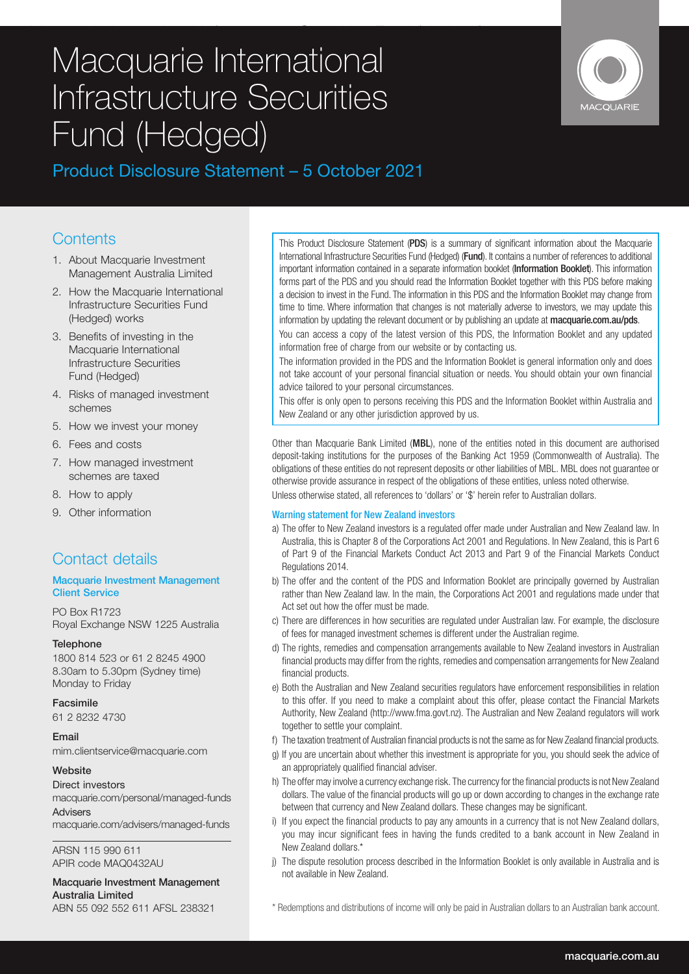# Macquarie International Infrastructure Securities Fund (Hedged) Macquarie International Front (OC) Infrastructure Securities Fund (Hedged)



# Product Disclosure Statement – 5 October 2021

## **Contents**

- 1. About Macquarie Investment Management Australia Limited
- 2. How the Macquarie International Infrastructure Securities Fund (Hedged) works
- 3. Benefits of investing in the Macquarie International Infrastructure Securities Fund (Hedged)
- 4. Risks of managed investment schemes
- 5. How we invest your money
- 6. Fees and costs
- 7. How managed investment schemes are taxed
- 8. How to apply
- 9. Other information

# Contact details

### Macquarie Investment Management Client Service

PO Box R1723 Royal Exchange NSW 1225 Australia

### **Telephone**

1800 814 523 or 61 2 8245 4900 8.30am to 5.30pm (Sydney time) Monday to Friday

### Facsimile

61 2 8232 4730

### Email

mim.clientservice@macquarie.com

### Website

Direct investors macquarie.com/personal/managed-funds Advisers

macquarie.com/advisers/managed-funds

ARSN 115 990 611 APIR code MAQ0432AU

### Macquarie Investment Management Australia Limited ABN 55 092 552 611 AFSL 238321

This Product Disclosure Statement (PDS) is a summary of significant information about the Macquarie International Infrastructure Securities Fund (Hedged) (Fund). It contains a number of references to additional important information contained in a separate information booklet (Information Booklet). This information forms part of the PDS and you should read the Information Booklet together with this PDS before making a decision to invest in the Fund. The information in this PDS and the Information Booklet may change from time to time. Where information that changes is not materially adverse to investors, we may update this information by updating the relevant document or by publishing an update at **macquarie.com.au/pds.** 

You can access a copy of the latest version of this PDS, the Information Booklet and any updated information free of charge from our website or by contacting us.

The information provided in the PDS and the Information Booklet is general information only and does not take account of your personal financial situation or needs. You should obtain your own financial advice tailored to your personal circumstances.

This offer is only open to persons receiving this PDS and the Information Booklet within Australia and New Zealand or any other jurisdiction approved by us.

Other than Macquarie Bank Limited (MBL), none of the entities noted in this document are authorised deposit-taking institutions for the purposes of the Banking Act 1959 (Commonwealth of Australia). The obligations of these entities do not represent deposits or other liabilities of MBL. MBL does not guarantee or otherwise provide assurance in respect of the obligations of these entities, unless noted otherwise.

Unless otherwise stated, all references to 'dollars' or '\$' herein refer to Australian dollars.

### Warning statement for New Zealand investors

- a) The offer to New Zealand investors is a regulated offer made under Australian and New Zealand law. In Australia, this is Chapter 8 of the Corporations Act 2001 and Regulations. In New Zealand, this is Part 6 of Part 9 of the Financial Markets Conduct Act 2013 and Part 9 of the Financial Markets Conduct Regulations 2014.
- b) The offer and the content of the PDS and Information Booklet are principally governed by Australian rather than New Zealand law. In the main, the Corporations Act 2001 and regulations made under that Act set out how the offer must be made.
- c) There are differences in how securities are regulated under Australian law. For example, the disclosure of fees for managed investment schemes is different under the Australian regime.
- d) The rights, remedies and compensation arrangements available to New Zealand investors in Australian financial products may differ from the rights, remedies and compensation arrangements for New Zealand financial products.
- e) Both the Australian and New Zealand securities regulators have enforcement responsibilities in relation to this offer. If you need to make a complaint about this offer, please contact the Financial Markets Authority, New Zealand (http://www.fma.govt.nz). The Australian and New Zealand regulators will work together to settle your complaint.
- f) The taxation treatment of Australian financial products is not the same as for New Zealand financial products.
- g) If you are uncertain about whether this investment is appropriate for you, you should seek the advice of an appropriately qualified financial adviser.
- h) The offer may involve a currency exchange risk. The currency for the financial products is not New Zealand dollars. The value of the financial products will go up or down according to changes in the exchange rate between that currency and New Zealand dollars. These changes may be significant.
- i) If you expect the financial products to pay any amounts in a currency that is not New Zealand dollars, you may incur significant fees in having the funds credited to a bank account in New Zealand in New Zealand dollars.\*
- j) The dispute resolution process described in the Information Booklet is only available in Australia and is not available in New Zealand.

\* Redemptions and distributions of income will only be paid in Australian dollars to an Australian bank account.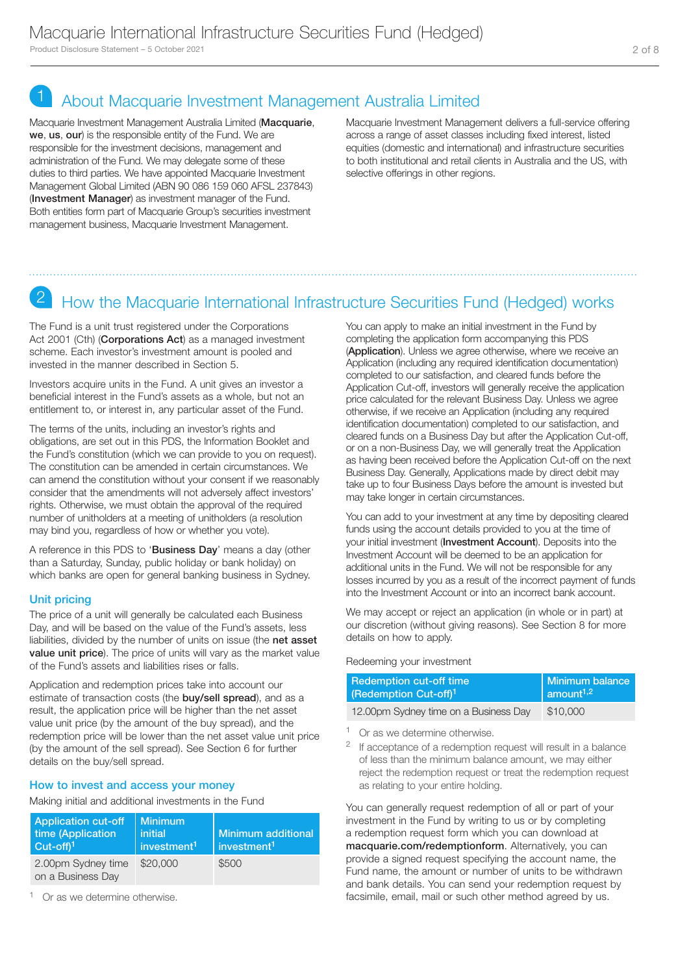# 1 About Macquarie Investment Management Australia Limited

Macquarie Investment Management Australia Limited (Macquarie, we, us, our) is the responsible entity of the Fund. We are responsible for the investment decisions, management and administration of the Fund. We may delegate some of these duties to third parties. We have appointed Macquarie Investment Management Global Limited (ABN 90 086 159 060 AFSL 237843) (Investment Manager) as investment manager of the Fund. Both entities form part of Macquarie Group's securities investment management business, Macquarie Investment Management.

Macquarie Investment Management delivers a full-service offering across a range of asset classes including fixed interest, listed equities (domestic and international) and infrastructure securities to both institutional and retail clients in Australia and the US, with selective offerings in other regions.

# 2 How the Macquarie International Infrastructure Securities Fund (Hedged) works

The Fund is a unit trust registered under the Corporations Act 2001 (Cth) (Corporations Act) as a managed investment scheme. Each investor's investment amount is pooled and invested in the manner described in Section 5.

Investors acquire units in the Fund. A unit gives an investor a beneficial interest in the Fund's assets as a whole, but not an entitlement to, or interest in, any particular asset of the Fund.

The terms of the units, including an investor's rights and obligations, are set out in this PDS, the Information Booklet and the Fund's constitution (which we can provide to you on request). The constitution can be amended in certain circumstances. We can amend the constitution without your consent if we reasonably consider that the amendments will not adversely affect investors' rights. Otherwise, we must obtain the approval of the required number of unitholders at a meeting of unitholders (a resolution may bind you, regardless of how or whether you vote).

A reference in this PDS to 'Business Day' means a day (other than a Saturday, Sunday, public holiday or bank holiday) on which banks are open for general banking business in Sydney.

### Unit pricing

The price of a unit will generally be calculated each Business Day, and will be based on the value of the Fund's assets, less liabilities, divided by the number of units on issue (the net asset **value unit price**). The price of units will vary as the market value of the Fund's assets and liabilities rises or falls.

Application and redemption prices take into account our estimate of transaction costs (the **buy/sell spread**), and as a result, the application price will be higher than the net asset value unit price (by the amount of the buy spread), and the redemption price will be lower than the net asset value unit price (by the amount of the sell spread). See Section 6 for further details on the buy/sell spread.

### How to invest and access your money

Making initial and additional investments in the Fund

| <b>Application cut-off</b><br>time (Application<br>$\text{Cut-off}$ <sup>1</sup> | <b>Minimum</b><br>initial<br>investment <sup>1</sup> | Minimum additional<br>investment <sup>1</sup> |
|----------------------------------------------------------------------------------|------------------------------------------------------|-----------------------------------------------|
| 2.00pm Sydney time<br>on a Business Day                                          | \$20,000                                             | \$500                                         |

<sup>1</sup> Or as we determine otherwise.

You can apply to make an initial investment in the Fund by completing the application form accompanying this PDS (Application). Unless we agree otherwise, where we receive an Application (including any required identification documentation) completed to our satisfaction, and cleared funds before the Application Cut-off, investors will generally receive the application price calculated for the relevant Business Day. Unless we agree otherwise, if we receive an Application (including any required identification documentation) completed to our satisfaction, and cleared funds on a Business Day but after the Application Cut-off, or on a non-Business Day, we will generally treat the Application as having been received before the Application Cut-off on the next Business Day. Generally, Applications made by direct debit may take up to four Business Days before the amount is invested but may take longer in certain circumstances.

You can add to your investment at any time by depositing cleared funds using the account details provided to you at the time of your initial investment (Investment Account). Deposits into the Investment Account will be deemed to be an application for additional units in the Fund. We will not be responsible for any losses incurred by you as a result of the incorrect payment of funds into the Investment Account or into an incorrect bank account.

We may accept or reject an application (in whole or in part) at our discretion (without giving reasons). See Section 8 for more details on how to apply.

Redeeming your investment

| <b>Redemption cut-off time</b>        | Minimum balance               |
|---------------------------------------|-------------------------------|
| (Redemption Cut-off) <sup>1</sup>     | $\vert$ amount <sup>1,2</sup> |
| 12.00pm Sydney time on a Business Day | \$10,000                      |

<sup>1</sup> Or as we determine otherwise.

<sup>2</sup> If acceptance of a redemption request will result in a balance of less than the minimum balance amount, we may either reject the redemption request or treat the redemption request as relating to your entire holding.

You can generally request redemption of all or part of your investment in the Fund by writing to us or by completing a redemption request form which you can download at macquarie.com/redemptionform. Alternatively, you can provide a signed request specifying the account name, the Fund name, the amount or number of units to be withdrawn and bank details. You can send your redemption request by facsimile, email, mail or such other method agreed by us.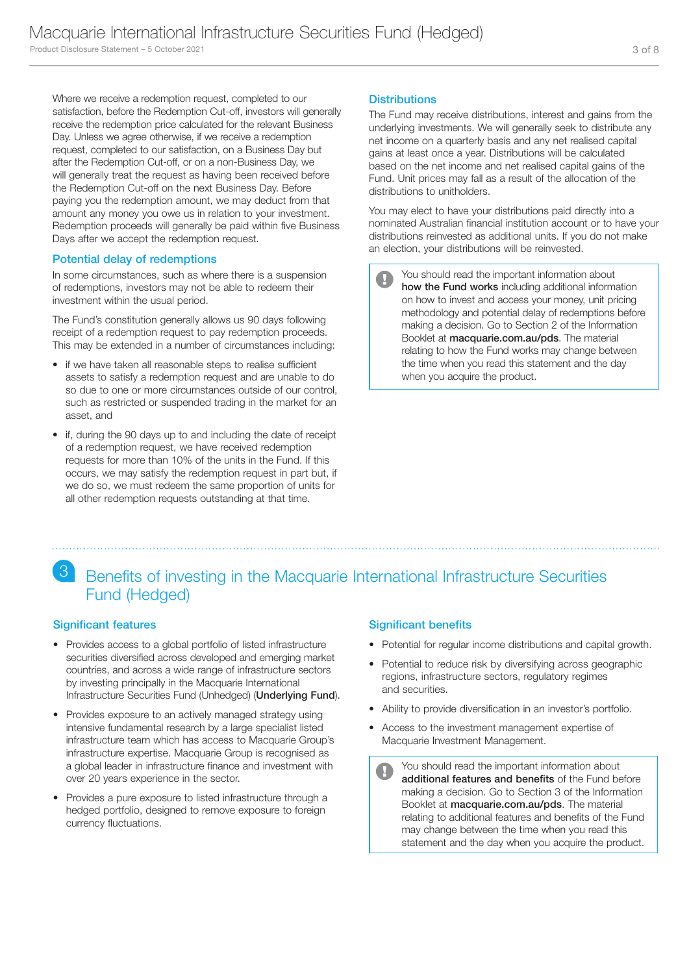Where we receive a redemption request, completed to our satisfaction, before the Redemption Cut-off, investors will generally receive the redemption price calculated for the relevant Business Day. Unless we agree otherwise, if we receive a redemption request, completed to our satisfaction, on a Business Day but after the Redemption Cut-off, or on a non-Business Day, we will generally treat the request as having been received before the Redemption Cut-off on the next Business Day. Before paying you the redemption amount, we may deduct from that amount any money you owe us in relation to your investment. Redemption proceeds will generally be paid within five Business Days after we accept the redemption request.

### Potential delay of redemptions

In some circumstances, such as where there is a suspension of redemptions, investors may not be able to redeem their investment within the usual period.

The Fund's constitution generally allows us 90 days following receipt of a redemption request to pay redemption proceeds. This may be extended in a number of circumstances including:

- if we have taken all reasonable steps to realise sufficient assets to satisfy a redemption request and are unable to do so due to one or more circumstances outside of our control, such as restricted or suspended trading in the market for an asset, and
- if, during the 90 days up to and including the date of receipt of a redemption request, we have received redemption requests for more than 10% of the units in the Fund. If this occurs, we may satisfy the redemption request in part but, if we do so, we must redeem the same proportion of units for all other redemption requests outstanding at that time.

### **Distributions**

The Fund may receive distributions, interest and gains from the underlying investments. We will generally seek to distribute any net income on a quarterly basis and any net realised capital gains at least once a year. Distributions will be calculated based on the net income and net realised capital gains of the Fund. Unit prices may fall as a result of the allocation of the distributions to unitholders.

You may elect to have your distributions paid directly into a nominated Australian financial institution account or to have your distributions reinvested as additional units. If you do not make an election, your distributions will be reinvested.

You should read the important information about how the Fund works including additional information on how to invest and access your money, unit pricing methodology and potential delay of redemptions before making a decision. Go to Section 2 of the Information Booklet at macquarie.com.au/pds. The material relating to how the Fund works may change between the time when you read this statement and the day when you acquire the product.

# 3 Benefits of investing in the Macquarie International Infrastructure Securities Fund (Hedged)

### Significant features

- Provides access to a global portfolio of listed infrastructure securities diversified across developed and emerging market countries, and across a wide range of infrastructure sectors by investing principally in the Macquarie International Infrastructure Securities Fund (Unhedged) (Underlying Fund).
- Provides exposure to an actively managed strategy using intensive fundamental research by a large specialist listed infrastructure team which has access to Macquarie Group's infrastructure expertise. Macquarie Group is recognised as a global leader in infrastructure finance and investment with over 20 years experience in the sector.
- Provides a pure exposure to listed infrastructure through a hedged portfolio, designed to remove exposure to foreign currency fluctuations.

### Significant benefits

- Potential for regular income distributions and capital growth.
- Potential to reduce risk by diversifying across geographic regions, infrastructure sectors, regulatory regimes and securities.
- Ability to provide diversification in an investor's portfolio.
- Access to the investment management expertise of Macquarie Investment Management.
	- You should read the important information about  $\blacksquare$ additional features and benefits of the Fund before making a decision. Go to Section 3 of the Information Booklet at macquarie.com.au/pds. The material relating to additional features and benefits of the Fund may change between the time when you read this statement and the day when you acquire the product.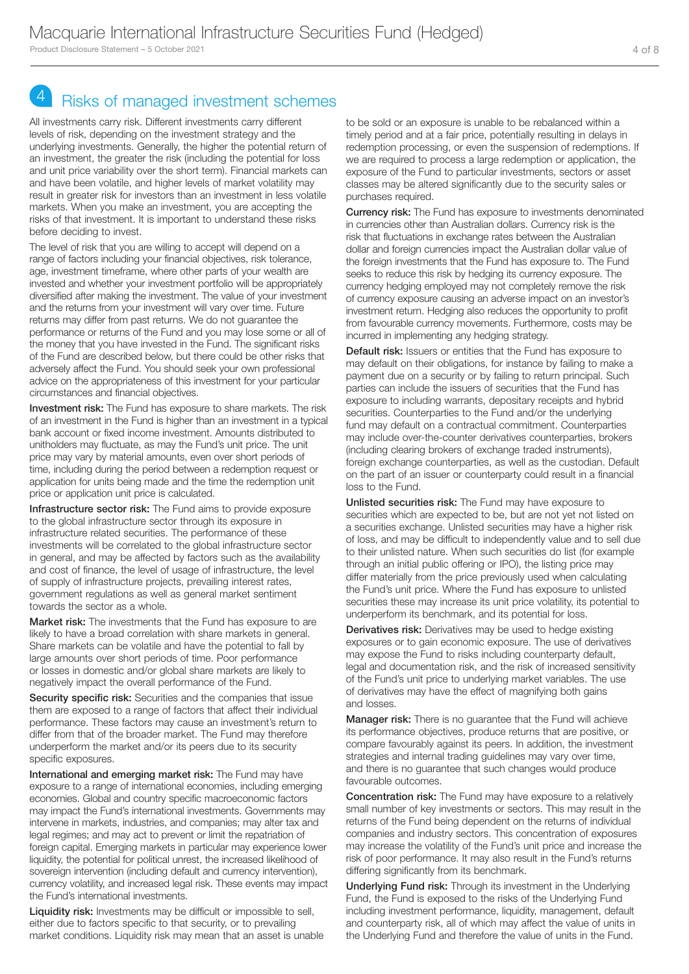# 4 Risks of managed investment schemes

All investments carry risk. Different investments carry different levels of risk, depending on the investment strategy and the underlying investments. Generally, the higher the potential return of an investment, the greater the risk (including the potential for loss and unit price variability over the short term). Financial markets can and have been volatile, and higher levels of market volatility may result in greater risk for investors than an investment in less volatile markets. When you make an investment, you are accepting the risks of that investment. It is important to understand these risks before deciding to invest.

The level of risk that you are willing to accept will depend on a range of factors including your financial objectives, risk tolerance, age, investment timeframe, where other parts of your wealth are invested and whether your investment portfolio will be appropriately diversified after making the investment. The value of your investment and the returns from your investment will vary over time. Future returns may differ from past returns. We do not guarantee the performance or returns of the Fund and you may lose some or all of the money that you have invested in the Fund. The significant risks of the Fund are described below, but there could be other risks that adversely affect the Fund. You should seek your own professional advice on the appropriateness of this investment for your particular circumstances and financial objectives.

Investment risk: The Fund has exposure to share markets. The risk of an investment in the Fund is higher than an investment in a typical bank account or fixed income investment. Amounts distributed to unitholders may fluctuate, as may the Fund's unit price. The unit price may vary by material amounts, even over short periods of time, including during the period between a redemption request or application for units being made and the time the redemption unit price or application unit price is calculated.

Infrastructure sector risk: The Fund aims to provide exposure to the global infrastructure sector through its exposure in infrastructure related securities. The performance of these investments will be correlated to the global infrastructure sector in general, and may be affected by factors such as the availability and cost of finance, the level of usage of infrastructure, the level of supply of infrastructure projects, prevailing interest rates, government regulations as well as general market sentiment towards the sector as a whole.

Market risk: The investments that the Fund has exposure to are likely to have a broad correlation with share markets in general. Share markets can be volatile and have the potential to fall by large amounts over short periods of time. Poor performance or losses in domestic and/or global share markets are likely to negatively impact the overall performance of the Fund.

Security specific risk: Securities and the companies that issue them are exposed to a range of factors that affect their individual performance. These factors may cause an investment's return to differ from that of the broader market. The Fund may therefore underperform the market and/or its peers due to its security specific exposures.

International and emerging market risk: The Fund may have exposure to a range of international economies, including emerging economies. Global and country specific macroeconomic factors may impact the Fund's international investments. Governments may intervene in markets, industries, and companies; may alter tax and legal regimes; and may act to prevent or limit the repatriation of foreign capital. Emerging markets in particular may experience lower liquidity, the potential for political unrest, the increased likelihood of sovereign intervention (including default and currency intervention), currency volatility, and increased legal risk. These events may impact the Fund's international investments.

Liquidity risk: Investments may be difficult or impossible to sell, either due to factors specific to that security, or to prevailing market conditions. Liquidity risk may mean that an asset is unable to be sold or an exposure is unable to be rebalanced within a timely period and at a fair price, potentially resulting in delays in redemption processing, or even the suspension of redemptions. If we are required to process a large redemption or application, the exposure of the Fund to particular investments, sectors or asset classes may be altered significantly due to the security sales or purchases required.

Currency risk: The Fund has exposure to investments denominated in currencies other than Australian dollars. Currency risk is the risk that fluctuations in exchange rates between the Australian dollar and foreign currencies impact the Australian dollar value of the foreign investments that the Fund has exposure to. The Fund seeks to reduce this risk by hedging its currency exposure. The currency hedging employed may not completely remove the risk of currency exposure causing an adverse impact on an investor's investment return. Hedging also reduces the opportunity to profit from favourable currency movements. Furthermore, costs may be incurred in implementing any hedging strategy.

Default risk: Issuers or entities that the Fund has exposure to may default on their obligations, for instance by failing to make a payment due on a security or by failing to return principal. Such parties can include the issuers of securities that the Fund has exposure to including warrants, depositary receipts and hybrid securities. Counterparties to the Fund and/or the underlying fund may default on a contractual commitment. Counterparties may include over-the-counter derivatives counterparties, brokers (including clearing brokers of exchange traded instruments), foreign exchange counterparties, as well as the custodian. Default on the part of an issuer or counterparty could result in a financial loss to the Fund.

Unlisted securities risk: The Fund may have exposure to securities which are expected to be, but are not yet not listed on a securities exchange. Unlisted securities may have a higher risk of loss, and may be difficult to independently value and to sell due to their unlisted nature. When such securities do list (for example through an initial public offering or IPO), the listing price may differ materially from the price previously used when calculating the Fund's unit price. Where the Fund has exposure to unlisted securities these may increase its unit price volatility, its potential to underperform its benchmark, and its potential for loss.

**Derivatives risk:** Derivatives may be used to hedge existing exposures or to gain economic exposure. The use of derivatives may expose the Fund to risks including counterparty default, legal and documentation risk, and the risk of increased sensitivity of the Fund's unit price to underlying market variables. The use of derivatives may have the effect of magnifying both gains and losses.

Manager risk: There is no guarantee that the Fund will achieve its performance objectives, produce returns that are positive, or compare favourably against its peers. In addition, the investment strategies and internal trading guidelines may vary over time, and there is no guarantee that such changes would produce favourable outcomes.

**Concentration risk:** The Fund may have exposure to a relatively small number of key investments or sectors. This may result in the returns of the Fund being dependent on the returns of individual companies and industry sectors. This concentration of exposures may increase the volatility of the Fund's unit price and increase the risk of poor performance. It may also result in the Fund's returns differing significantly from its benchmark.

Underlying Fund risk: Through its investment in the Underlying Fund, the Fund is exposed to the risks of the Underlying Fund including investment performance, liquidity, management, default and counterparty risk, all of which may affect the value of units in the Underlying Fund and therefore the value of units in the Fund.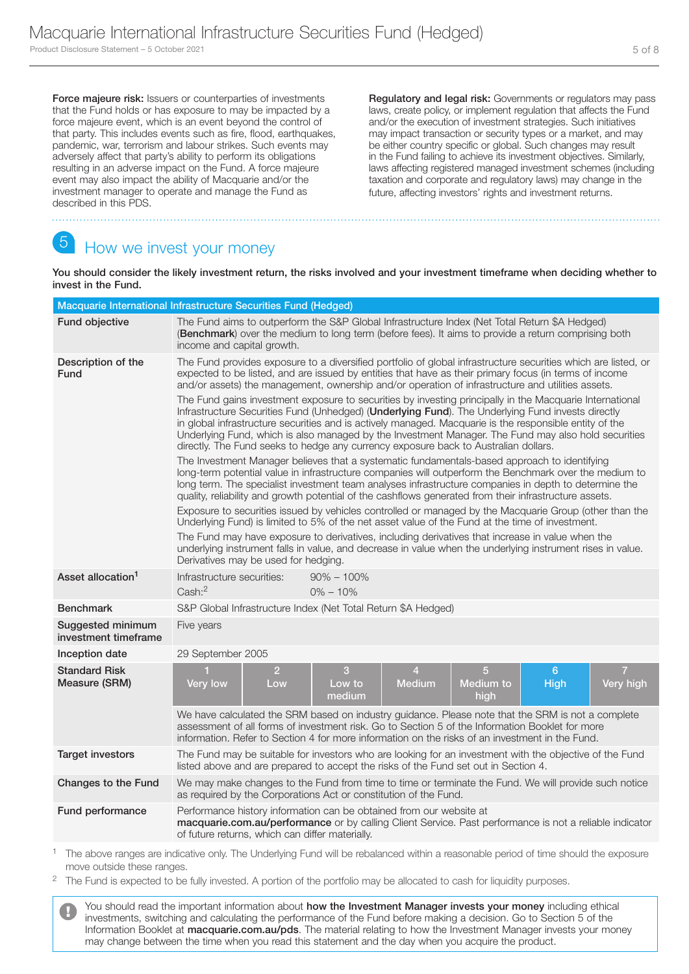Force majeure risk: Issuers or counterparties of investments that the Fund holds or has exposure to may be impacted by a force majeure event, which is an event beyond the control of that party. This includes events such as fire, flood, earthquakes, pandemic, war, terrorism and labour strikes. Such events may adversely affect that party's ability to perform its obligations resulting in an adverse impact on the Fund. A force majeure event may also impact the ability of Macquarie and/or the investment manager to operate and manage the Fund as described in this PDS.

Regulatory and legal risk: Governments or regulators may pass laws, create policy, or implement regulation that affects the Fund and/or the execution of investment strategies. Such initiatives may impact transaction or security types or a market, and may be either country specific or global. Such changes may result in the Fund failing to achieve its investment objectives. Similarly, laws affecting registered managed investment schemes (including taxation and corporate and regulatory laws) may change in the future, affecting investors' rights and investment returns.

# 5 How we invest your money

You should consider the likely investment return, the risks involved and your investment timeframe when deciding whether to invest in the Fund.

|                                           | Macquarie International Infrastructure Securities Fund (Hedged)                                                                                                                                                                                                                                                                                                                                                                                                                                                                                                                                                                                                                                                                                                                                                                                                                                                                                                                                                                                                                                                                                                                                                                                                                                                                                                                                                                                                                                                                                                                                                                                                                                                                                             |  |  |
|-------------------------------------------|-------------------------------------------------------------------------------------------------------------------------------------------------------------------------------------------------------------------------------------------------------------------------------------------------------------------------------------------------------------------------------------------------------------------------------------------------------------------------------------------------------------------------------------------------------------------------------------------------------------------------------------------------------------------------------------------------------------------------------------------------------------------------------------------------------------------------------------------------------------------------------------------------------------------------------------------------------------------------------------------------------------------------------------------------------------------------------------------------------------------------------------------------------------------------------------------------------------------------------------------------------------------------------------------------------------------------------------------------------------------------------------------------------------------------------------------------------------------------------------------------------------------------------------------------------------------------------------------------------------------------------------------------------------------------------------------------------------------------------------------------------------|--|--|
| Fund objective                            | The Fund aims to outperform the S&P Global Infrastructure Index (Net Total Return \$A Hedged)<br>(Benchmark) over the medium to long term (before fees). It aims to provide a return comprising both<br>income and capital growth.                                                                                                                                                                                                                                                                                                                                                                                                                                                                                                                                                                                                                                                                                                                                                                                                                                                                                                                                                                                                                                                                                                                                                                                                                                                                                                                                                                                                                                                                                                                          |  |  |
| Description of the<br>Fund                | The Fund provides exposure to a diversified portfolio of global infrastructure securities which are listed, or<br>expected to be listed, and are issued by entities that have as their primary focus (in terms of income<br>and/or assets) the management, ownership and/or operation of infrastructure and utilities assets.<br>The Fund gains investment exposure to securities by investing principally in the Macquarie International<br>Infrastructure Securities Fund (Unhedged) (Underlying Fund). The Underlying Fund invests directly<br>in global infrastructure securities and is actively managed. Macquarie is the responsible entity of the<br>Underlying Fund, which is also managed by the Investment Manager. The Fund may also hold securities<br>directly. The Fund seeks to hedge any currency exposure back to Australian dollars.<br>The Investment Manager believes that a systematic fundamentals-based approach to identifying<br>long-term potential value in infrastructure companies will outperform the Benchmark over the medium to<br>long term. The specialist investment team analyses infrastructure companies in depth to determine the<br>quality, reliability and growth potential of the cashflows generated from their infrastructure assets.<br>Exposure to securities issued by vehicles controlled or managed by the Macquarie Group (other than the<br>Underlying Fund) is limited to 5% of the net asset value of the Fund at the time of investment.<br>The Fund may have exposure to derivatives, including derivatives that increase in value when the<br>underlying instrument falls in value, and decrease in value when the underlying instrument rises in value.<br>Derivatives may be used for hedging. |  |  |
| Asset allocation <sup>1</sup>             | Infrastructure securities:<br>$90\% - 100\%$<br>Cash: <sup>2</sup><br>$0\% - 10\%$                                                                                                                                                                                                                                                                                                                                                                                                                                                                                                                                                                                                                                                                                                                                                                                                                                                                                                                                                                                                                                                                                                                                                                                                                                                                                                                                                                                                                                                                                                                                                                                                                                                                          |  |  |
| <b>Benchmark</b>                          | S&P Global Infrastructure Index (Net Total Return \$A Hedged)                                                                                                                                                                                                                                                                                                                                                                                                                                                                                                                                                                                                                                                                                                                                                                                                                                                                                                                                                                                                                                                                                                                                                                                                                                                                                                                                                                                                                                                                                                                                                                                                                                                                                               |  |  |
| Suggested minimum<br>investment timeframe | Five years                                                                                                                                                                                                                                                                                                                                                                                                                                                                                                                                                                                                                                                                                                                                                                                                                                                                                                                                                                                                                                                                                                                                                                                                                                                                                                                                                                                                                                                                                                                                                                                                                                                                                                                                                  |  |  |
| Inception date                            | 29 September 2005                                                                                                                                                                                                                                                                                                                                                                                                                                                                                                                                                                                                                                                                                                                                                                                                                                                                                                                                                                                                                                                                                                                                                                                                                                                                                                                                                                                                                                                                                                                                                                                                                                                                                                                                           |  |  |
| <b>Standard Risk</b><br>Measure (SRM)     | 5<br>$\overline{7}$<br>$\overline{2}$<br>3<br>$\overline{4}$<br>6<br><b>Medium</b><br>Medium to<br>Very high<br><b>Very low</b><br>Low to<br><b>High</b><br>Low<br>medium<br>high<br>We have calculated the SRM based on industry guidance. Please note that the SRM is not a complete<br>assessment of all forms of investment risk. Go to Section 5 of the Information Booklet for more                                                                                                                                                                                                                                                                                                                                                                                                                                                                                                                                                                                                                                                                                                                                                                                                                                                                                                                                                                                                                                                                                                                                                                                                                                                                                                                                                                   |  |  |
|                                           | information. Refer to Section 4 for more information on the risks of an investment in the Fund.                                                                                                                                                                                                                                                                                                                                                                                                                                                                                                                                                                                                                                                                                                                                                                                                                                                                                                                                                                                                                                                                                                                                                                                                                                                                                                                                                                                                                                                                                                                                                                                                                                                             |  |  |
| <b>Target investors</b>                   | The Fund may be suitable for investors who are looking for an investment with the objective of the Fund<br>listed above and are prepared to accept the risks of the Fund set out in Section 4.                                                                                                                                                                                                                                                                                                                                                                                                                                                                                                                                                                                                                                                                                                                                                                                                                                                                                                                                                                                                                                                                                                                                                                                                                                                                                                                                                                                                                                                                                                                                                              |  |  |
| Changes to the Fund                       | We may make changes to the Fund from time to time or terminate the Fund. We will provide such notice<br>as required by the Corporations Act or constitution of the Fund.                                                                                                                                                                                                                                                                                                                                                                                                                                                                                                                                                                                                                                                                                                                                                                                                                                                                                                                                                                                                                                                                                                                                                                                                                                                                                                                                                                                                                                                                                                                                                                                    |  |  |
| Fund performance                          | Performance history information can be obtained from our website at<br>macquarie.com.au/performance or by calling Client Service. Past performance is not a reliable indicator<br>of future returns, which can differ materially.                                                                                                                                                                                                                                                                                                                                                                                                                                                                                                                                                                                                                                                                                                                                                                                                                                                                                                                                                                                                                                                                                                                                                                                                                                                                                                                                                                                                                                                                                                                           |  |  |
|                                           | The above ranges are indicative only. The Underlying Fund will be rebalanced within a reasonable period of time should the exposure                                                                                                                                                                                                                                                                                                                                                                                                                                                                                                                                                                                                                                                                                                                                                                                                                                                                                                                                                                                                                                                                                                                                                                                                                                                                                                                                                                                                                                                                                                                                                                                                                         |  |  |

move outside these ranges.

<sup>2</sup> The Fund is expected to be fully invested. A portion of the portfolio may be allocated to cash for liquidity purposes.

You should read the important information about how the Investment Manager invests your money including ethical investments, switching and calculating the performance of the Fund before making a decision. Go to Section 5 of the Information Booklet at macquarie.com.au/pds. The material relating to how the Investment Manager invests your money may change between the time when you read this statement and the day when you acquire the product.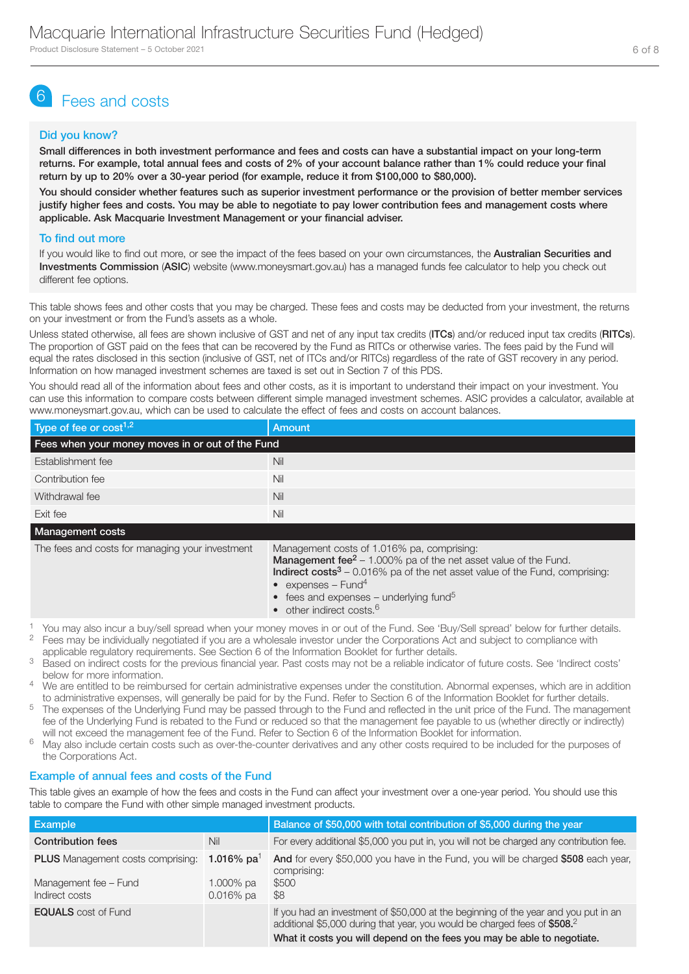# 6 Fees and costs

### Did you know?

Small differences in both investment performance and fees and costs can have a substantial impact on your long-term returns. For example, total annual fees and costs of 2% of your account balance rather than 1% could reduce your final return by up to 20% over a 30-year period (for example, reduce it from \$100,000 to \$80,000).

You should consider whether features such as superior investment performance or the provision of better member services justify higher fees and costs. You may be able to negotiate to pay lower contribution fees and management costs where applicable. Ask Macquarie Investment Management or your financial adviser.

### To find out more

If you would like to find out more, or see the impact of the fees based on your own circumstances, the Australian Securities and Investments Commission (ASIC) website (www.moneysmart.gov.au) has a managed funds fee calculator to help you check out different fee options.

This table shows fees and other costs that you may be charged. These fees and costs may be deducted from your investment, the returns on your investment or from the Fund's assets as a whole.

Unless stated otherwise, all fees are shown inclusive of GST and net of any input tax credits (ITCs) and/or reduced input tax credits (RITCs). The proportion of GST paid on the fees that can be recovered by the Fund as RITCs or otherwise varies. The fees paid by the Fund will equal the rates disclosed in this section (inclusive of GST, net of ITCs and/or RITCs) regardless of the rate of GST recovery in any period. Information on how managed investment schemes are taxed is set out in Section 7 of this PDS.

You should read all of the information about fees and other costs, as it is important to understand their impact on your investment. You can use this information to compare costs between different simple managed investment schemes. ASIC provides a calculator, available at www.moneysmart.gov.au, which can be used to calculate the effect of fees and costs on account balances.

| Type of fee or cost <sup>1,2</sup>               | Amount |  |  |  |
|--------------------------------------------------|--------|--|--|--|
| Fees when your money moves in or out of the Fund |        |  |  |  |
| Establishment fee                                | Nil    |  |  |  |
| Contribution fee                                 | Nil    |  |  |  |
| Withdrawal fee                                   | Nil    |  |  |  |
| Exit fee                                         | Nil    |  |  |  |

### Management costs

The fees and costs for managing your investment Management costs of 1.016% pa, comprising:

**Management fee<sup>2</sup> – 1.000%** pa of the net asset value of the Fund.

**Indirect costs** $3 - 0.016\%$  pa of the net asset value of the Fund, comprising: • expenses – Fund<sup>4</sup>

- fees and expenses underlying fund<sup>5</sup>
- other indirect costs.<sup>6</sup>
- 1 You may also incur a buy/sell spread when your money moves in or out of the Fund. See 'Buy/Sell spread' below for further details.<br>2. Fees movies individually popptieted if you are a wholesele investor under the Corporat 2 Fees may be individually negotiated if you are a wholesale investor under the Corporations Act and subject to compliance with

applicable regulatory requirements. See Section 6 of the Information Booklet for further details.

- <sup>3</sup> Based on indirect costs for the previous financial year. Past costs may not be a reliable indicator of future costs. See 'Indirect costs' below for more information.
- <sup>4</sup> We are entitled to be reimbursed for certain administrative expenses under the constitution. Abnormal expenses, which are in addition to administrative expenses, will generally be paid for by the Fund. Refer to Section 6 of the Information Booklet for further details.
- <sup>5</sup> The expenses of the Underlying Fund may be passed through to the Fund and reflected in the unit price of the Fund. The management fee of the Underlying Fund is rebated to the Fund or reduced so that the management fee payable to us (whether directly or indirectly) will not exceed the management fee of the Fund. Refer to Section 6 of the Information Booklet for information.
- <sup>6</sup> May also include certain costs such as over-the-counter derivatives and any other costs required to be included for the purposes of the Corporations Act.

### Example of annual fees and costs of the Fund

This table gives an example of how the fees and costs in the Fund can affect your investment over a one-year period. You should use this table to compare the Fund with other simple managed investment products.

| <b>Example</b>                                                                      |                                                     | Balance of \$50,000 with total contribution of \$5,000 during the year                                                                                                                                                                      |
|-------------------------------------------------------------------------------------|-----------------------------------------------------|---------------------------------------------------------------------------------------------------------------------------------------------------------------------------------------------------------------------------------------------|
| <b>Contribution fees</b>                                                            | Nil                                                 | For every additional \$5,000 you put in, you will not be charged any contribution fee.                                                                                                                                                      |
| <b>PLUS</b> Management costs comprising:<br>Management fee - Fund<br>Indirect costs | 1.016% pa <sup>1</sup><br>1.000% pa<br>$0.016\%$ pa | And for every \$50,000 you have in the Fund, you will be charged \$508 each year,<br>comprising:<br>\$500<br>\$8                                                                                                                            |
| <b>EQUALS</b> cost of Fund                                                          |                                                     | If you had an investment of \$50,000 at the beginning of the year and you put in an<br>additional \$5,000 during that year, you would be charged fees of \$508.2<br>What it costs you will depend on the fees you may be able to negotiate. |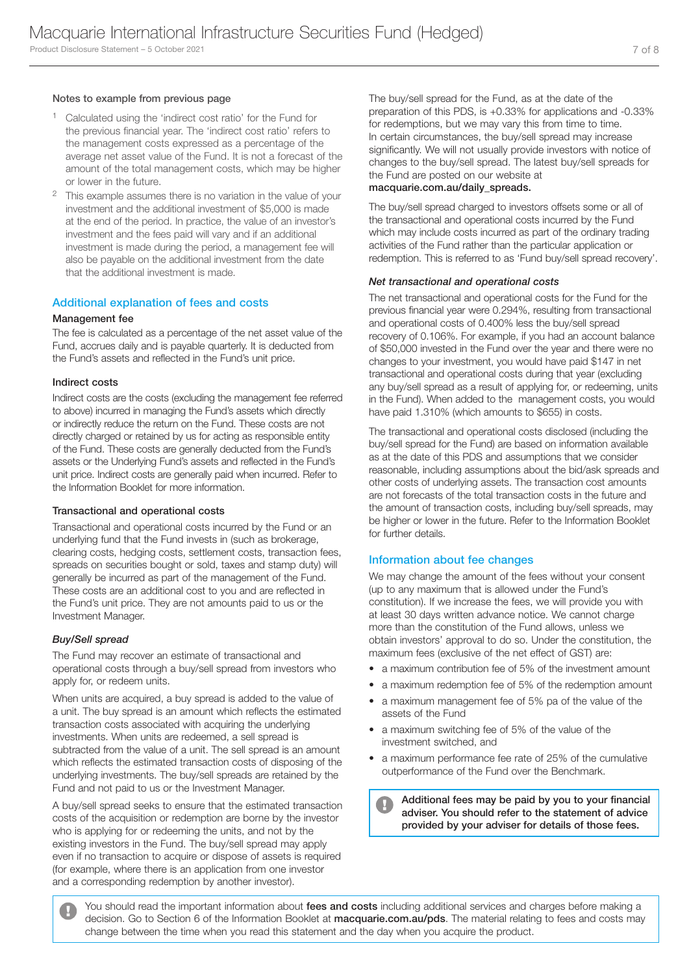### Notes to example from previous page

- 1 Calculated using the 'indirect cost ratio' for the Fund for the previous financial year. The 'indirect cost ratio' refers to the management costs expressed as a percentage of the average net asset value of the Fund. It is not a forecast of the amount of the total management costs, which may be higher or lower in the future.
- <sup>2</sup> This example assumes there is no variation in the value of your investment and the additional investment of \$5,000 is made at the end of the period. In practice, the value of an investor's investment and the fees paid will vary and if an additional investment is made during the period, a management fee will also be payable on the additional investment from the date that the additional investment is made.

### Additional explanation of fees and costs

### Management fee

The fee is calculated as a percentage of the net asset value of the Fund, accrues daily and is payable quarterly. It is deducted from the Fund's assets and reflected in the Fund's unit price.

### Indirect costs

Indirect costs are the costs (excluding the management fee referred to above) incurred in managing the Fund's assets which directly or indirectly reduce the return on the Fund. These costs are not directly charged or retained by us for acting as responsible entity of the Fund. These costs are generally deducted from the Fund's assets or the Underlying Fund's assets and reflected in the Fund's unit price. Indirect costs are generally paid when incurred. Refer to the Information Booklet for more information.

### Transactional and operational costs

Transactional and operational costs incurred by the Fund or an underlying fund that the Fund invests in (such as brokerage, clearing costs, hedging costs, settlement costs, transaction fees, spreads on securities bought or sold, taxes and stamp duty) will generally be incurred as part of the management of the Fund. These costs are an additional cost to you and are reflected in the Fund's unit price. They are not amounts paid to us or the Investment Manager.

### *Buy/Sell spread*

The Fund may recover an estimate of transactional and operational costs through a buy/sell spread from investors who apply for, or redeem units.

When units are acquired, a buy spread is added to the value of a unit. The buy spread is an amount which reflects the estimated transaction costs associated with acquiring the underlying investments. When units are redeemed, a sell spread is subtracted from the value of a unit. The sell spread is an amount which reflects the estimated transaction costs of disposing of the underlying investments. The buy/sell spreads are retained by the Fund and not paid to us or the Investment Manager.

A buy/sell spread seeks to ensure that the estimated transaction costs of the acquisition or redemption are borne by the investor who is applying for or redeeming the units, and not by the existing investors in the Fund. The buy/sell spread may apply even if no transaction to acquire or dispose of assets is required (for example, where there is an application from one investor and a corresponding redemption by another investor).

The buy/sell spread for the Fund, as at the date of the preparation of this PDS, is +0.33% for applications and -0.33% for redemptions, but we may vary this from time to time. In certain circumstances, the buy/sell spread may increase significantly. We will not usually provide investors with notice of changes to the buy/sell spread. The latest buy/sell spreads for the Fund are posted on our website at

### macquarie.com.au/daily\_spreads.

The buy/sell spread charged to investors offsets some or all of the transactional and operational costs incurred by the Fund which may include costs incurred as part of the ordinary trading activities of the Fund rather than the particular application or redemption. This is referred to as 'Fund buy/sell spread recovery'.

### *Net transactional and operational costs*

The net transactional and operational costs for the Fund for the previous financial year were 0.294%, resulting from transactional and operational costs of 0.400% less the buy/sell spread recovery of 0.106%. For example, if you had an account balance of \$50,000 invested in the Fund over the year and there were no changes to your investment, you would have paid \$147 in net transactional and operational costs during that year (excluding any buy/sell spread as a result of applying for, or redeeming, units in the Fund). When added to the management costs, you would have paid 1.310% (which amounts to \$655) in costs.

The transactional and operational costs disclosed (including the buy/sell spread for the Fund) are based on information available as at the date of this PDS and assumptions that we consider reasonable, including assumptions about the bid/ask spreads and other costs of underlying assets. The transaction cost amounts are not forecasts of the total transaction costs in the future and the amount of transaction costs, including buy/sell spreads, may be higher or lower in the future. Refer to the Information Booklet for further details.

### Information about fee changes

We may change the amount of the fees without your consent (up to any maximum that is allowed under the Fund's constitution). If we increase the fees, we will provide you with at least 30 days written advance notice. We cannot charge more than the constitution of the Fund allows, unless we obtain investors' approval to do so. Under the constitution, the maximum fees (exclusive of the net effect of GST) are:

- a maximum contribution fee of 5% of the investment amount
- a maximum redemption fee of 5% of the redemption amount
- a maximum management fee of 5% pa of the value of the assets of the Fund
- a maximum switching fee of 5% of the value of the investment switched, and
- a maximum performance fee rate of 25% of the cumulative outperformance of the Fund over the Benchmark.

Additional fees may be paid by you to your financial adviser. You should refer to the statement of advice provided by your adviser for details of those fees.

You should read the important information about fees and costs including additional services and charges before making a decision. Go to Section 6 of the Information Booklet at macquarie.com.au/pds. The material relating to fees and costs may change between the time when you read this statement and the day when you acquire the product.